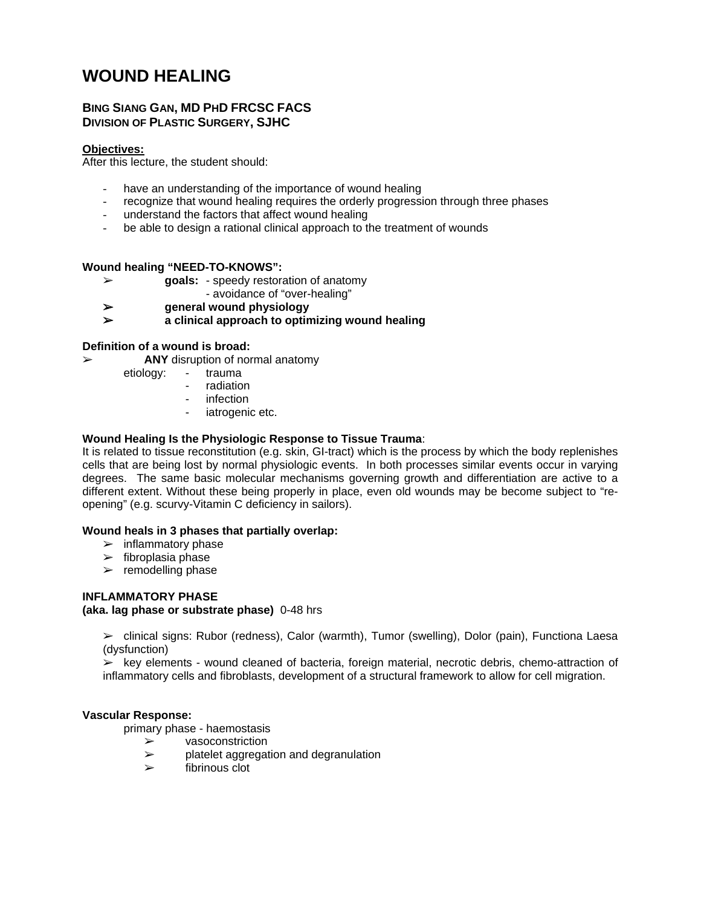# **WOUND HEALING**

# **BING SIANG GAN, MD PHD FRCSC FACS DIVISION OF PLASTIC SURGERY, SJHC**

#### **Objectives:**

After this lecture, the student should:

- have an understanding of the importance of wound healing
- recognize that wound healing requires the orderly progression through three phases
- understand the factors that affect wound healing
- be able to design a rational clinical approach to the treatment of wounds

# **Wound healing "NEED-TO-KNOWS":**

- % **goals:**  speedy restoration of anatomy
	- avoidance of "over-healing"
- % **general wound physiology**
- % **a clinical approach to optimizing wound healing**

# **Definition of a wound is broad:**

- % **ANY** disruption of normal anatomy
	- etiology: trauma
		- radiation
		- infection
		- iatrogenic etc.

# **Wound Healing Is the Physiologic Response to Tissue Trauma**:

It is related to tissue reconstitution (e.g. skin, GI-tract) which is the process by which the body replenishes cells that are being lost by normal physiologic events. In both processes similar events occur in varying degrees. The same basic molecular mechanisms governing growth and differentiation are active to a different extent. Without these being properly in place, even old wounds may be become subject to "reopening" (e.g. scurvy-Vitamin C deficiency in sailors).

#### **Wound heals in 3 phases that partially overlap:**

- $\triangleright$  inflammatory phase
- $\triangleright$  fibroplasia phase
- $\triangleright$  remodelling phase

# **INFLAMMATORY PHASE**

#### **(aka. lag phase or substrate phase)** 0-48 hrs

% clinical signs: Rubor (redness), Calor (warmth), Tumor (swelling), Dolor (pain), Functiona Laesa (dysfunction)

 $\triangleright$  key elements - wound cleaned of bacteria, foreign material, necrotic debris, chemo-attraction of inflammatory cells and fibroblasts, development of a structural framework to allow for cell migration.

#### **Vascular Response:**

primary phase - haemostasis

- $\triangleright$  vasoconstriction
- $\geq$  platelet aggregation and degranulation
- $\triangleright$  fibrinous clot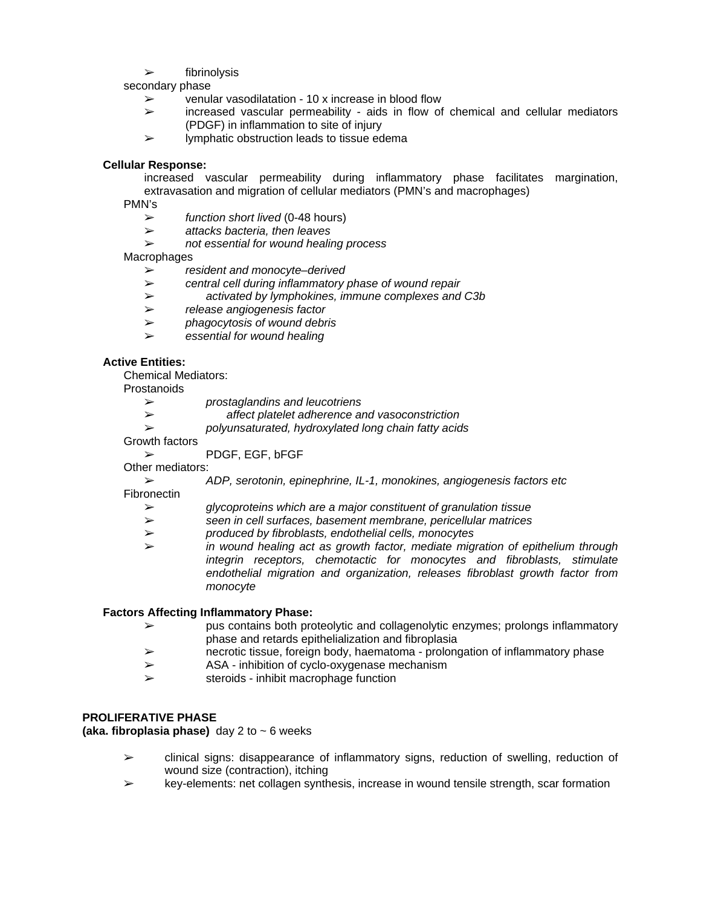$\triangleright$  fibrinolysis

secondary phase

- $\geq$  venular vasodilatation 10 x increase in blood flow
- $\geq$  increased vascular permeability aids in flow of chemical and cellular mediators (PDGF) in inflammation to site of injury
- $\triangleright$  lymphatic obstruction leads to tissue edema

# **Cellular Response:**

increased vascular permeability during inflammatory phase facilitates margination, extravasation and migration of cellular mediators (PMN's and macrophages)

PMN's

- % *function short lived* (0-48 hours)
- % *attacks bacteria, then leaves*
- % *not essential for wound healing process*

#### Macrophages

- % *resident and monocyte–derived*
- % *central cell during inflammatory phase of wound repair*
- % *activated by lymphokines, immune complexes and C3b*
- % *release angiogenesis factor*
- % *phagocytosis of wound debris*
- % *essential for wound healing*

# **Active Entities:**

Chemical Mediators:

**Prostanoids** 

- % *prostaglandins and leucotriens*
- % *affect platelet adherence and vasoconstriction*
	- % *polyunsaturated, hydroxylated long chain fatty acids*

Growth factors

 $\triangleright$  PDGF, EGF, bFGF

Other mediators:

% *ADP, serotonin, epinephrine, IL-1, monokines, angiogenesis factors etc*

**Fibronectin** 

- % *glycoproteins which are a major constituent of granulation tissue*
- % *seen in cell surfaces, basement membrane, pericellular matrices*
- % *produced by fibroblasts, endothelial cells, monocytes*
- % *in wound healing act as growth factor, mediate migration of epithelium through integrin receptors, chemotactic for monocytes and fibroblasts, stimulate endothelial migration and organization, releases fibroblast growth factor from monocyte*

#### **Factors Affecting Inflammatory Phase:**

- $\geq$  pus contains both proteolytic and collagenolytic enzymes; prolongs inflammatory phase and retards epithelialization and fibroplasia
- $\triangleright$  necrotic tissue, foreign body, haematoma prolongation of inflammatory phase
- $\triangleright$  ASA inhibition of cyclo-oxygenase mechanism
- $\triangleright$  steroids inhibit macrophage function

# **PROLIFERATIVE PHASE**

**(aka. fibroplasia phase)** day 2 to ~ 6 weeks

- $\geq$  clinical signs: disappearance of inflammatory signs, reduction of swelling, reduction of wound size (contraction), itching
- $\triangleright$  key-elements: net collagen synthesis, increase in wound tensile strength, scar formation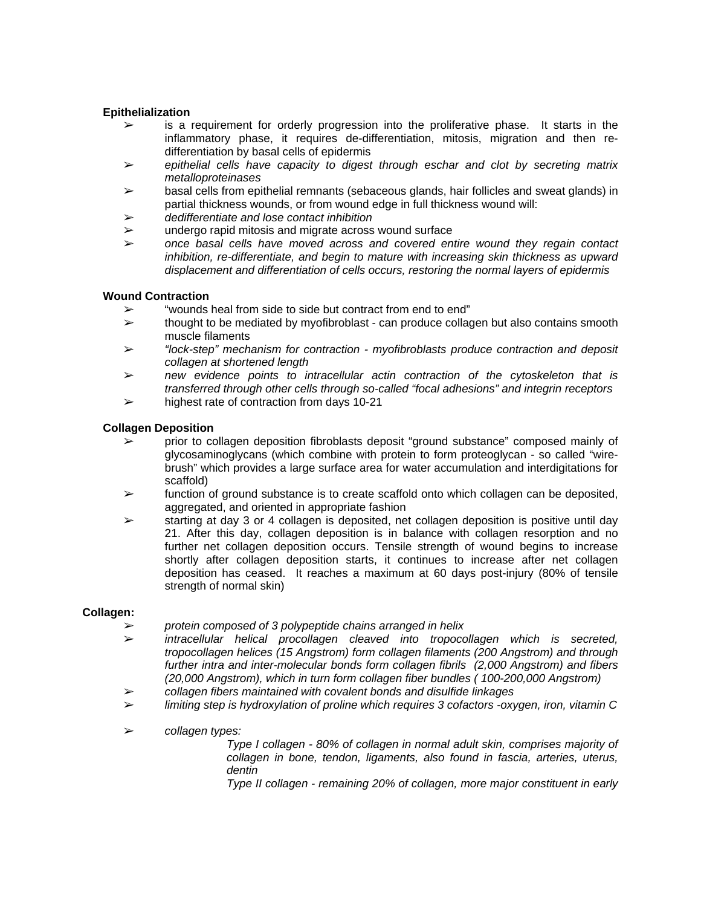# **Epithelialization**

- $\triangleright$  is a requirement for orderly progression into the proliferative phase. It starts in the inflammatory phase, it requires de-differentiation, mitosis, migration and then redifferentiation by basal cells of epidermis
- % *epithelial cells have capacity to digest through eschar and clot by secreting matrix metalloproteinases*
- $\triangleright$  basal cells from epithelial remnants (sebaceous glands, hair follicles and sweat glands) in partial thickness wounds, or from wound edge in full thickness wound will:
- % *dedifferentiate and lose contact inhibition*
- $\triangleright$  undergo rapid mitosis and migrate across wound surface
- % *once basal cells have moved across and covered entire wound they regain contact inhibition, re-differentiate, and begin to mature with increasing skin thickness as upward displacement and differentiation of cells occurs, restoring the normal layers of epidermis*

# **Wound Contraction**

- "wounds heal from side to side but contract from end to end"
- $\geq$  thought to be mediated by myofibroblast can produce collagen but also contains smooth muscle filaments
- % *"lock-step" mechanism for contraction myofibroblasts produce contraction and deposit collagen at shortened length*
- % *new evidence points to intracellular actin contraction of the cytoskeleton that is transferred through other cells through so-called "focal adhesions" and integrin receptors*
- $\geq$  highest rate of contraction from days 10-21

# **Collagen Deposition**

- prior to collagen deposition fibroblasts deposit "ground substance" composed mainly of glycosaminoglycans (which combine with protein to form proteoglycan - so called "wirebrush" which provides a large surface area for water accumulation and interdigitations for scaffold)
- $\triangleright$  function of ground substance is to create scaffold onto which collagen can be deposited, aggregated, and oriented in appropriate fashion
- $\geq$  starting at day 3 or 4 collagen is deposited, net collagen deposition is positive until day 21. After this day, collagen deposition is in balance with collagen resorption and no further net collagen deposition occurs. Tensile strength of wound begins to increase shortly after collagen deposition starts, it continues to increase after net collagen deposition has ceased. It reaches a maximum at 60 days post-injury (80% of tensile strength of normal skin)

#### **Collagen:**

- % *protein composed of 3 polypeptide chains arranged in helix*
- % *intracellular helical procollagen cleaved into tropocollagen which is secreted, tropocollagen helices (15 Angstrom) form collagen filaments (200 Angstrom) and through further intra and inter-molecular bonds form collagen fibrils (2,000 Angstrom) and fibers (20,000 Angstrom), which in turn form collagen fiber bundles ( 100-200,000 Angstrom)*
- % *collagen fibers maintained with covalent bonds and disulfide linkages*
- % *limiting step is hydroxylation of proline which requires 3 cofactors -oxygen, iron, vitamin C*
- % *collagen types:*

 *Type I collagen - 80% of collagen in normal adult skin, comprises majority of collagen in bone, tendon, ligaments, also found in fascia, arteries, uterus, dentin* 

*Type II collagen - remaining 20% of collagen, more major constituent in early*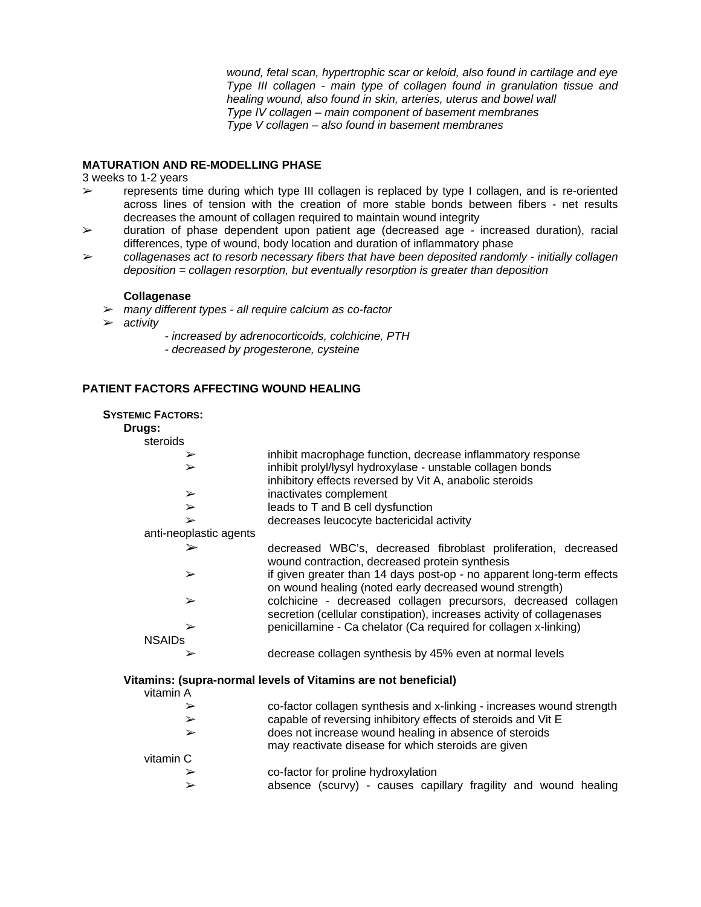*wound, fetal scan, hypertrophic scar or keloid, also found in cartilage and eye Type III collagen - main type of collagen found in granulation tissue and healing wound, also found in skin, arteries, uterus and bowel wall Type IV collagen – main component of basement membranes Type V collagen – also found in basement membranes* 

# **MATURATION AND RE-MODELLING PHASE**

3 weeks to 1-2 years

- $\triangleright$  represents time during which type III collagen is replaced by type I collagen, and is re-oriented across lines of tension with the creation of more stable bonds between fibers - net results decreases the amount of collagen required to maintain wound integrity
- $\triangleright$  duration of phase dependent upon patient age (decreased age increased duration), racial differences, type of wound, body location and duration of inflammatory phase
- % *collagenases act to resorb necessary fibers that have been deposited randomly initially collagen deposition = collagen resorption, but eventually resorption is greater than deposition*

#### **Collagenase**

- % *many different types all require calcium as co-factor*
- % *activity*
	- *increased by adrenocorticoids, colchicine, PTH*
	- *decreased by progesterone, cysteine*

#### **PATIENT FACTORS AFFECTING WOUND HEALING**

#### **SYSTEMIC FACTORS:**

**Drugs:**

| steroids                                                                               |                                                                                                                                         |  |
|----------------------------------------------------------------------------------------|-----------------------------------------------------------------------------------------------------------------------------------------|--|
| $\blacktriangleright$                                                                  | inhibit macrophage function, decrease inflammatory response                                                                             |  |
| $\blacktriangleright$                                                                  | inhibit prolyl/lysyl hydroxylase - unstable collagen bonds                                                                              |  |
|                                                                                        | inhibitory effects reversed by Vit A, anabolic steroids                                                                                 |  |
| ➤                                                                                      | inactivates complement                                                                                                                  |  |
| $\blacktriangleright$                                                                  | leads to T and B cell dysfunction                                                                                                       |  |
| ➤                                                                                      | decreases leucocyte bactericidal activity                                                                                               |  |
| anti-neoplastic agents                                                                 |                                                                                                                                         |  |
| ➢                                                                                      | decreased WBC's, decreased fibroblast proliferation, decreased<br>wound contraction, decreased protein synthesis                        |  |
| ➤                                                                                      | if given greater than 14 days post-op - no apparent long-term effects<br>on wound healing (noted early decreased wound strength)        |  |
| $\blacktriangleright$                                                                  | colchicine - decreased collagen precursors, decreased collagen<br>secretion (cellular constipation), increases activity of collagenases |  |
| ➤                                                                                      | penicillamine - Ca chelator (Ca required for collagen x-linking)                                                                        |  |
| <b>NSAIDs</b>                                                                          |                                                                                                                                         |  |
| ➤                                                                                      | decrease collagen synthesis by 45% even at normal levels                                                                                |  |
| Vitamins: (supra-normal levels of Vitamins are not beneficial)<br>$v$ itamin $\Lambda$ |                                                                                                                                         |  |

| vitamin A |                                                                                                               |
|-----------|---------------------------------------------------------------------------------------------------------------|
| ➤         | co-factor collagen synthesis and x-linking - increases wound strength                                         |
| ➤         | capable of reversing inhibitory effects of steroids and Vit E                                                 |
| ➤         | does not increase wound healing in absence of steroids<br>may reactivate disease for which steroids are given |
| vitamin C |                                                                                                               |
| ➤         | co-factor for proline hydroxylation                                                                           |
| ➤         | absence (scurvy) - causes capillary fragility and wound healing                                               |
|           |                                                                                                               |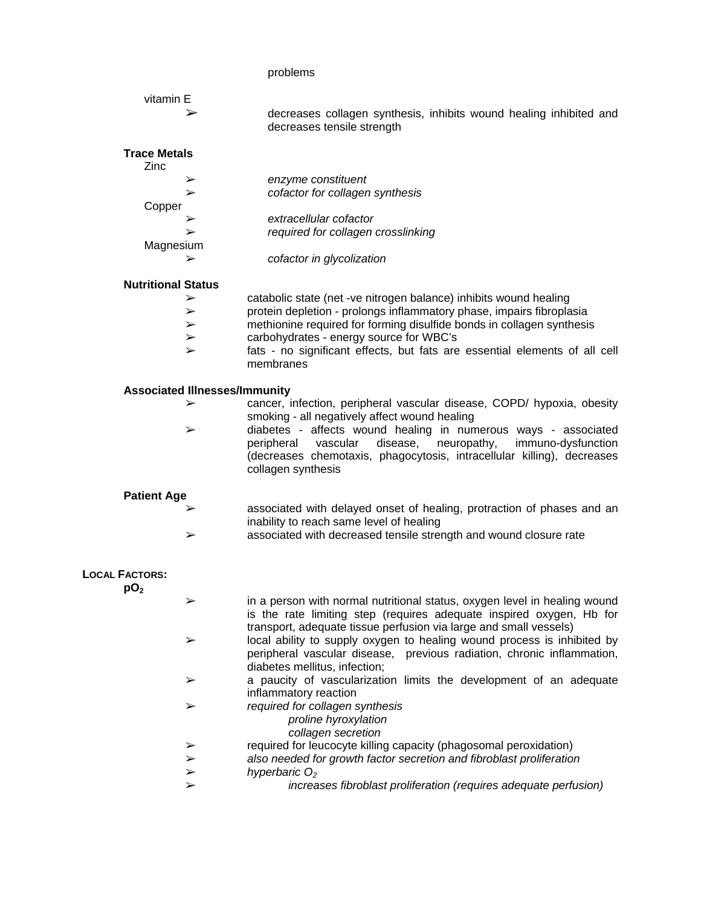# problems

| vitamin E                                |                                                                                                                                                                                                                                           |
|------------------------------------------|-------------------------------------------------------------------------------------------------------------------------------------------------------------------------------------------------------------------------------------------|
| ⋗                                        | decreases collagen synthesis, inhibits wound healing inhibited and<br>decreases tensile strength                                                                                                                                          |
| <b>Trace Metals</b><br>Zinc              |                                                                                                                                                                                                                                           |
| ➤                                        | enzyme constituent                                                                                                                                                                                                                        |
| ➤                                        | cofactor for collagen synthesis                                                                                                                                                                                                           |
| Copper                                   |                                                                                                                                                                                                                                           |
| ➢                                        | extracellular cofactor                                                                                                                                                                                                                    |
| ➤                                        | required for collagen crosslinking                                                                                                                                                                                                        |
| Magnesium                                |                                                                                                                                                                                                                                           |
|                                          | cofactor in glycolization                                                                                                                                                                                                                 |
| <b>Nutritional Status</b>                |                                                                                                                                                                                                                                           |
| ➤                                        | catabolic state (net -ve nitrogen balance) inhibits wound healing                                                                                                                                                                         |
| ➤                                        | protein depletion - prolongs inflammatory phase, impairs fibroplasia                                                                                                                                                                      |
| ➤                                        | methionine required for forming disulfide bonds in collagen synthesis                                                                                                                                                                     |
| ➤                                        | carbohydrates - energy source for WBC's                                                                                                                                                                                                   |
| $\blacktriangleright$                    | fats - no significant effects, but fats are essential elements of all cell<br>membranes                                                                                                                                                   |
| <b>Associated Illnesses/Immunity</b>     |                                                                                                                                                                                                                                           |
| ➤                                        | cancer, infection, peripheral vascular disease, COPD/ hypoxia, obesity<br>smoking - all negatively affect wound healing                                                                                                                   |
| ➤                                        | diabetes - affects wound healing in numerous ways - associated<br>peripheral<br>vascular<br>disease,<br>neuropathy,<br>immuno-dysfunction<br>(decreases chemotaxis, phagocytosis, intracellular killing), decreases<br>collagen synthesis |
| <b>Patient Age</b>                       |                                                                                                                                                                                                                                           |
|                                          | associated with delayed onset of healing, protraction of phases and an<br>inability to reach same level of healing                                                                                                                        |
| $\blacktriangleright$                    | associated with decreased tensile strength and wound closure rate                                                                                                                                                                         |
| <b>LOCAL FACTORS:</b><br>pO <sub>2</sub> |                                                                                                                                                                                                                                           |
|                                          | in a person with normal nutritional status, oxygen level in healing wound<br>is the rate limiting step (requires adequate inspired oxygen, Hb for<br>transport, adequate tissue perfusion via large and small vessels)                    |
| ➤                                        | local ability to supply oxygen to healing wound process is inhibited by<br>peripheral vascular disease, previous radiation, chronic inflammation,<br>diabetes mellitus, infection;                                                        |
| ➤                                        | a paucity of vascularization limits the development of an adequate<br>inflammatory reaction                                                                                                                                               |
| ➤                                        | required for collagen synthesis<br>proline hyroxylation<br>collagen secretion                                                                                                                                                             |
| ➤                                        | required for leucocyte killing capacity (phagosomal peroxidation)                                                                                                                                                                         |
| ➤                                        | also needed for growth factor secretion and fibroblast proliferation                                                                                                                                                                      |
| $\blacktriangleright$                    | hyperbaric $O2$                                                                                                                                                                                                                           |
| ➤                                        | increases fibroblast proliferation (requires adequate perfusion)                                                                                                                                                                          |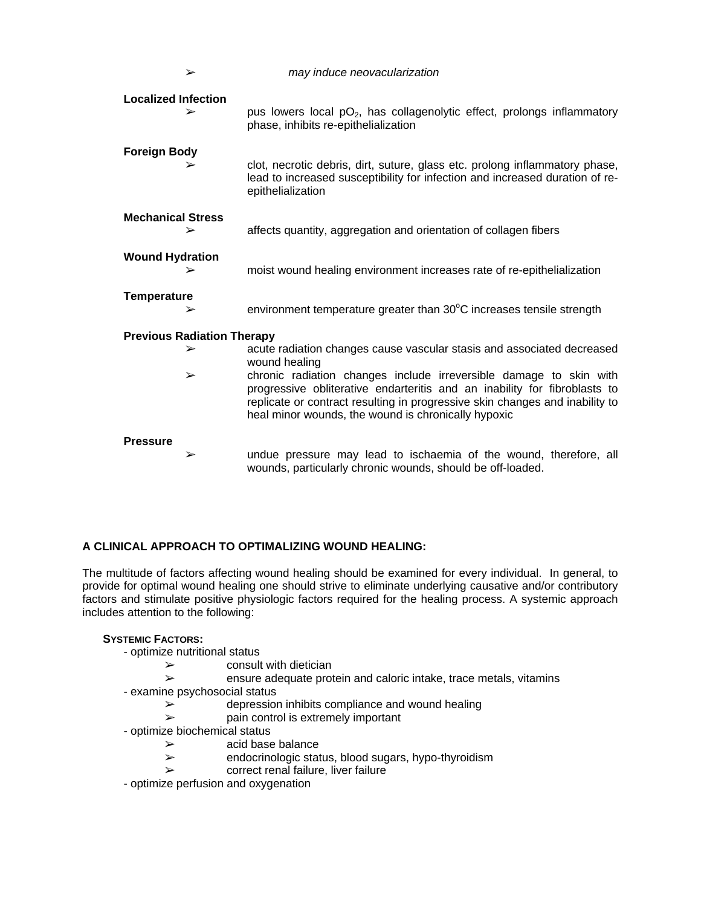| ➤                               | may induce neovacularization                                                                                                                                                                                                                                                           |  |  |
|---------------------------------|----------------------------------------------------------------------------------------------------------------------------------------------------------------------------------------------------------------------------------------------------------------------------------------|--|--|
| <b>Localized Infection</b><br>➢ | pus lowers local $pO_2$ , has collagenolytic effect, prolongs inflammatory<br>phase, inhibits re-epithelialization                                                                                                                                                                     |  |  |
| <b>Foreign Body</b><br>➢        | clot, necrotic debris, dirt, suture, glass etc. prolong inflammatory phase,<br>lead to increased susceptibility for infection and increased duration of re-<br>epithelialization                                                                                                       |  |  |
| <b>Mechanical Stress</b><br>➢   | affects quantity, aggregation and orientation of collagen fibers                                                                                                                                                                                                                       |  |  |
| <b>Wound Hydration</b>          | moist wound healing environment increases rate of re-epithelialization                                                                                                                                                                                                                 |  |  |
| <b>Temperature</b>              | environment temperature greater than 30°C increases tensile strength                                                                                                                                                                                                                   |  |  |
|                                 | <b>Previous Radiation Therapy</b>                                                                                                                                                                                                                                                      |  |  |
| $\blacktriangleright$           | acute radiation changes cause vascular stasis and associated decreased<br>wound healing                                                                                                                                                                                                |  |  |
| $\blacktriangleright$           | chronic radiation changes include irreversible damage to skin with<br>progressive obliterative endarteritis and an inability for fibroblasts to<br>replicate or contract resulting in progressive skin changes and inability to<br>heal minor wounds, the wound is chronically hypoxic |  |  |
| <b>Pressure</b>                 |                                                                                                                                                                                                                                                                                        |  |  |
| ➤                               | undue pressure may lead to ischaemia of the wound, therefore, all<br>wounds, particularly chronic wounds, should be off-loaded.                                                                                                                                                        |  |  |

# **A CLINICAL APPROACH TO OPTIMALIZING WOUND HEALING:**

The multitude of factors affecting wound healing should be examined for every individual. In general, to provide for optimal wound healing one should strive to eliminate underlying causative and/or contributory factors and stimulate positive physiologic factors required for the healing process. A systemic approach includes attention to the following:

#### **SYSTEMIC FACTORS:**

- optimize nutritional status
	- $\triangleright$  consult with dietician
	- $\geq$  ensure adequate protein and caloric intake, trace metals, vitamins
- examine psychosocial status
	- $\geq$  depression inhibits compliance and wound healing<br> $\geq$  pain control is extremely important
	- pain control is extremely important
- optimize biochemical status
	- $\ge$  acid base balance<br> $\ge$  endocrinologic state
	- endocrinologic status, blood sugars, hypo-thyroidism
	- $\triangleright$  correct renal failure, liver failure
- optimize perfusion and oxygenation